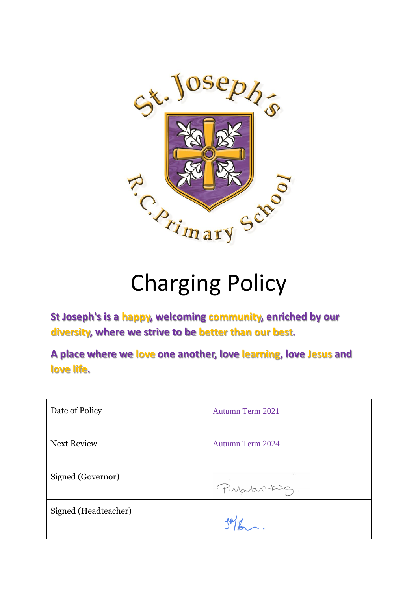

# Charging Policy

**St Joseph's is a happy, welcoming community, enriched by our diversity, where we strive to be better than our best.**

**A place where we love one another, love learning, love Jesus and love life.**

| Date of Policy       | Autumn Term 2021        |
|----------------------|-------------------------|
| <b>Next Review</b>   | <b>Autumn Term 2024</b> |
| Signed (Governor)    | P. Martin-King.         |
| Signed (Headteacher) |                         |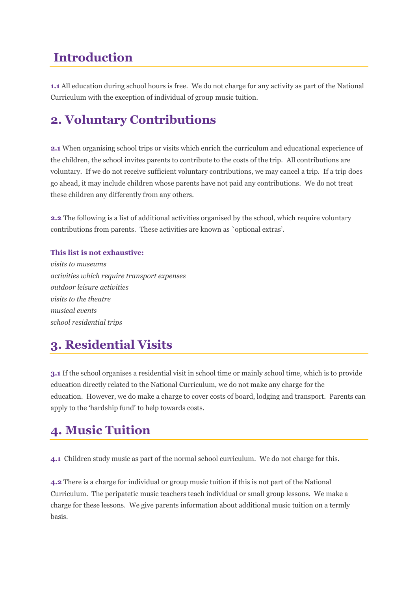#### **Introduction**

**1.1** All education during school hours is free. We do not charge for any activity as part of the National Curriculum with the exception of individual of group music tuition.

### **2. Voluntary Contributions**

**2.1** When organising school trips or visits which enrich the curriculum and educational experience of the children, the school invites parents to contribute to the costs of the trip. All contributions are voluntary. If we do not receive sufficient voluntary contributions, we may cancel a trip. If a trip does go ahead, it may include children whose parents have not paid any contributions. We do not treat these children any differently from any others.

**2.2** The following is a list of additional activities organised by the school, which require voluntary contributions from parents. These activities are known as `optional extras'.

#### **This list is not exhaustive:**

*visits to museums activities which require transport expenses outdoor leisure activities visits to the theatre musical events school residential trips*

# **3. Residential Visits**

**3.1** If the school organises a residential visit in school time or mainly school time, which is to provide education directly related to the National Curriculum, we do not make any charge for the education. However, we do make a charge to cover costs of board, lodging and transport. Parents can apply to the 'hardship fund' to help towards costs.

### **4. Music Tuition**

**4.1** Children study music as part of the normal school curriculum. We do not charge for this.

**4.2** There is a charge for individual or group music tuition if this is not part of the National Curriculum. The peripatetic music teachers teach individual or small group lessons. We make a charge for these lessons. We give parents information about additional music tuition on a termly basis.